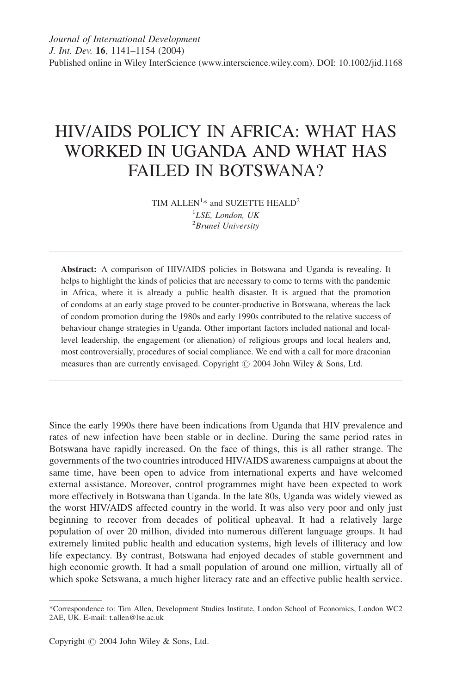# HIV/AIDS POLICY IN AFRICA: WHAT HAS WORKED IN UGANDA AND WHAT HAS FAILED IN BOTSWANA?

TIM ALLEN<sup>1</sup>\* and SUZETTE HEALD<sup>2</sup> <sup>1</sup>LSE, London, UK <sup>2</sup>Brunel University

Abstract: A comparison of HIV/AIDS policies in Botswana and Uganda is revealing. It helps to highlight the kinds of policies that are necessary to come to terms with the pandemic in Africa, where it is already a public health disaster. It is argued that the promotion of condoms at an early stage proved to be counter-productive in Botswana, whereas the lack of condom promotion during the 1980s and early 1990s contributed to the relative success of behaviour change strategies in Uganda. Other important factors included national and locallevel leadership, the engagement (or alienation) of religious groups and local healers and, most controversially, procedures of social compliance. We end with a call for more draconian measures than are currently envisaged. Copyright  $\odot$  2004 John Wiley & Sons, Ltd.

Since the early 1990s there have been indications from Uganda that HIV prevalence and rates of new infection have been stable or in decline. During the same period rates in Botswana have rapidly increased. On the face of things, this is all rather strange. The governments of the two countries introduced HIV/AIDS awareness campaigns at about the same time, have been open to advice from international experts and have welcomed external assistance. Moreover, control programmes might have been expected to work more effectively in Botswana than Uganda. In the late 80s, Uganda was widely viewed as the worst HIV/AIDS affected country in the world. It was also very poor and only just beginning to recover from decades of political upheaval. It had a relatively large population of over 20 million, divided into numerous different language groups. It had extremely limited public health and education systems, high levels of illiteracy and low life expectancy. By contrast, Botswana had enjoyed decades of stable government and high economic growth. It had a small population of around one million, virtually all of which spoke Setswana, a much higher literacy rate and an effective public health service.

<sup>\*</sup>Correspondence to: Tim Allen, Development Studies Institute, London School of Economics, London WC2 2AE, UK. E-mail: t.allen@lse.ac.uk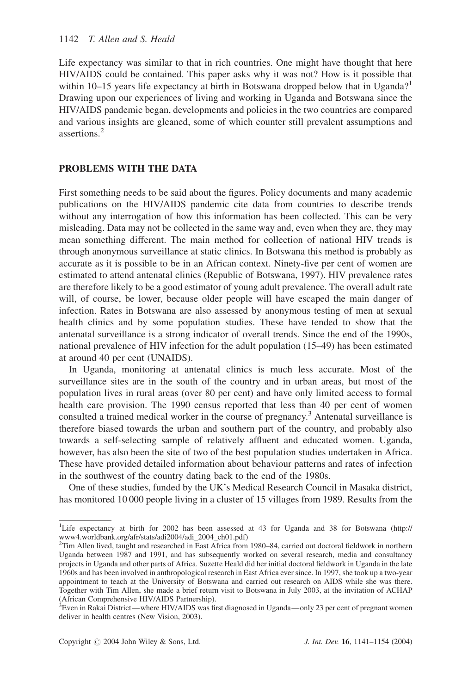Life expectancy was similar to that in rich countries. One might have thought that here HIV/AIDS could be contained. This paper asks why it was not? How is it possible that within 10–15 years life expectancy at birth in Botswana dropped below that in Uganda?<sup>1</sup> Drawing upon our experiences of living and working in Uganda and Botswana since the HIV/AIDS pandemic began, developments and policies in the two countries are compared and various insights are gleaned, some of which counter still prevalent assumptions and assertions.<sup>2</sup>

## PROBLEMS WITH THE DATA

First something needs to be said about the figures. Policy documents and many academic publications on the HIV/AIDS pandemic cite data from countries to describe trends without any interrogation of how this information has been collected. This can be very misleading. Data may not be collected in the same way and, even when they are, they may mean something different. The main method for collection of national HIV trends is through anonymous surveillance at static clinics. In Botswana this method is probably as accurate as it is possible to be in an African context. Ninety-five per cent of women are estimated to attend antenatal clinics (Republic of Botswana, 1997). HIV prevalence rates are therefore likely to be a good estimator of young adult prevalence. The overall adult rate will, of course, be lower, because older people will have escaped the main danger of infection. Rates in Botswana are also assessed by anonymous testing of men at sexual health clinics and by some population studies. These have tended to show that the antenatal surveillance is a strong indicator of overall trends. Since the end of the 1990s, national prevalence of HIV infection for the adult population (15–49) has been estimated at around 40 per cent (UNAIDS).

In Uganda, monitoring at antenatal clinics is much less accurate. Most of the surveillance sites are in the south of the country and in urban areas, but most of the population lives in rural areas (over 80 per cent) and have only limited access to formal health care provision. The 1990 census reported that less than 40 per cent of women consulted a trained medical worker in the course of pregnancy.<sup>3</sup> Antenatal surveillance is therefore biased towards the urban and southern part of the country, and probably also towards a self-selecting sample of relatively affluent and educated women. Uganda, however, has also been the site of two of the best population studies undertaken in Africa. These have provided detailed information about behaviour patterns and rates of infection in the southwest of the country dating back to the end of the 1980s.

One of these studies, funded by the UK's Medical Research Council in Masaka district, has monitored 10 000 people living in a cluster of 15 villages from 1989. Results from the

<sup>&</sup>lt;sup>1</sup>Life expectancy at birth for 2002 has been assessed at 43 for Uganda and 38 for Botswana (http:// www4.worldbank.org/afr/stats/adi2004/adi\_2004\_ch01.pdf)

<sup>&</sup>lt;sup>2</sup>Tim Allen lived, taught and researched in East Africa from 1980–84, carried out doctoral fieldwork in northern Uganda between 1987 and 1991, and has subsequently worked on several research, media and consultancy projects in Uganda and other parts of Africa. Suzette Heald did her initial doctoral fieldwork in Uganda in the late 1960s and has been involved in anthropological research in East Africa ever since. In 1997, she took up a two-year appointment to teach at the University of Botswana and carried out research on AIDS while she was there. Together with Tim Allen, she made a brief return visit to Botswana in July 2003, at the invitation of ACHAP (African Comprehensive HIV/AIDS Partnership).

<sup>&</sup>lt;sup>3</sup> Even in Rakai District—where HIV/AIDS was first diagnosed in Uganda—only 23 per cent of pregnant women deliver in health centres (New Vision, 2003).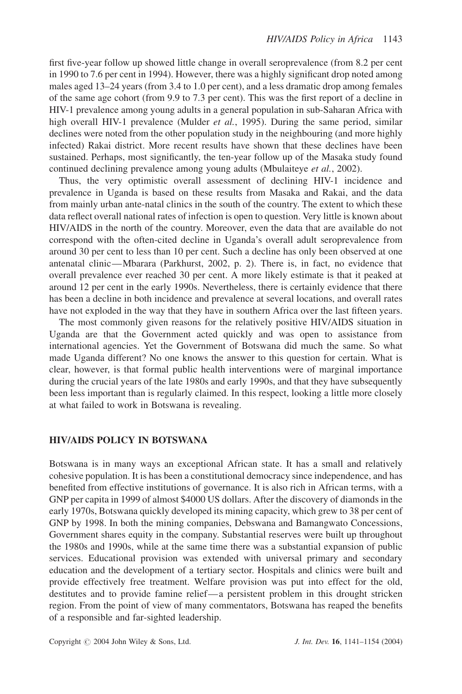first five-year follow up showed little change in overall seroprevalence (from 8.2 per cent in 1990 to 7.6 per cent in 1994). However, there was a highly significant drop noted among males aged 13–24 years (from 3.4 to 1.0 per cent), and a less dramatic drop among females of the same age cohort (from 9.9 to 7.3 per cent). This was the first report of a decline in HIV-1 prevalence among young adults in a general population in sub-Saharan Africa with high overall HIV-1 prevalence (Mulder *et al.*, 1995). During the same period, similar declines were noted from the other population study in the neighbouring (and more highly infected) Rakai district. More recent results have shown that these declines have been sustained. Perhaps, most significantly, the ten-year follow up of the Masaka study found continued declining prevalence among young adults (Mbulaiteye et al., 2002).

Thus, the very optimistic overall assessment of declining HIV-1 incidence and prevalence in Uganda is based on these results from Masaka and Rakai, and the data from mainly urban ante-natal clinics in the south of the country. The extent to which these data reflect overall national rates of infection is open to question. Very little is known about HIV/AIDS in the north of the country. Moreover, even the data that are available do not correspond with the often-cited decline in Uganda's overall adult seroprevalence from around 30 per cent to less than 10 per cent. Such a decline has only been observed at one antenatal clinic—Mbarara (Parkhurst, 2002, p. 2). There is, in fact, no evidence that overall prevalence ever reached 30 per cent. A more likely estimate is that it peaked at around 12 per cent in the early 1990s. Nevertheless, there is certainly evidence that there has been a decline in both incidence and prevalence at several locations, and overall rates have not exploded in the way that they have in southern Africa over the last fifteen years.

The most commonly given reasons for the relatively positive HIV/AIDS situation in Uganda are that the Government acted quickly and was open to assistance from international agencies. Yet the Government of Botswana did much the same. So what made Uganda different? No one knows the answer to this question for certain. What is clear, however, is that formal public health interventions were of marginal importance during the crucial years of the late 1980s and early 1990s, and that they have subsequently been less important than is regularly claimed. In this respect, looking a little more closely at what failed to work in Botswana is revealing.

### HIV/AIDS POLICY IN BOTSWANA

Botswana is in many ways an exceptional African state. It has a small and relatively cohesive population. It is has been a constitutional democracy since independence, and has benefited from effective institutions of governance. It is also rich in African terms, with a GNP per capita in 1999 of almost \$4000 US dollars. After the discovery of diamonds in the early 1970s, Botswana quickly developed its mining capacity, which grew to 38 per cent of GNP by 1998. In both the mining companies, Debswana and Bamangwato Concessions, Government shares equity in the company. Substantial reserves were built up throughout the 1980s and 1990s, while at the same time there was a substantial expansion of public services. Educational provision was extended with universal primary and secondary education and the development of a tertiary sector. Hospitals and clinics were built and provide effectively free treatment. Welfare provision was put into effect for the old, destitutes and to provide famine relief—a persistent problem in this drought stricken region. From the point of view of many commentators, Botswana has reaped the benefits of a responsible and far-sighted leadership.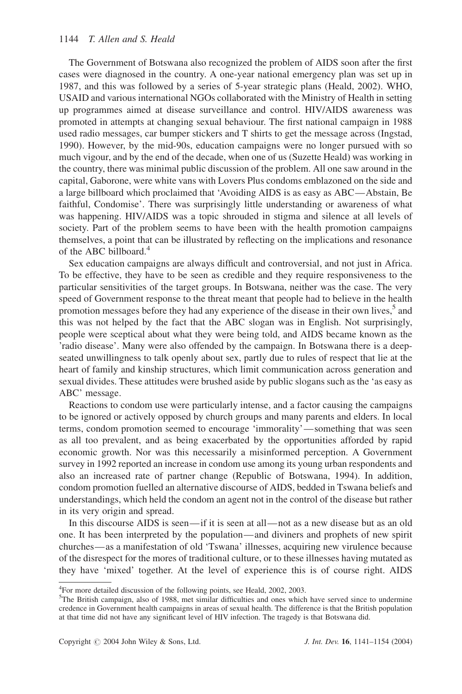# 1144 T. Allen and S. Heald

The Government of Botswana also recognized the problem of AIDS soon after the first cases were diagnosed in the country. A one-year national emergency plan was set up in 1987, and this was followed by a series of 5-year strategic plans (Heald, 2002). WHO, USAID and various international NGOs collaborated with the Ministry of Health in setting up programmes aimed at disease surveillance and control. HIV/AIDS awareness was promoted in attempts at changing sexual behaviour. The first national campaign in 1988 used radio messages, car bumper stickers and T shirts to get the message across (Ingstad, 1990). However, by the mid-90s, education campaigns were no longer pursued with so much vigour, and by the end of the decade, when one of us (Suzette Heald) was working in the country, there was minimal public discussion of the problem. All one saw around in the capital, Gaborone, were white vans with Lovers Plus condoms emblazoned on the side and a large billboard which proclaimed that 'Avoiding AIDS is as easy as ABC—Abstain, Be faithful, Condomise'. There was surprisingly little understanding or awareness of what was happening. HIV/AIDS was a topic shrouded in stigma and silence at all levels of society. Part of the problem seems to have been with the health promotion campaigns themselves, a point that can be illustrated by reflecting on the implications and resonance of the ABC billboard.<sup>4</sup>

Sex education campaigns are always difficult and controversial, and not just in Africa. To be effective, they have to be seen as credible and they require responsiveness to the particular sensitivities of the target groups. In Botswana, neither was the case. The very speed of Government response to the threat meant that people had to believe in the health promotion messages before they had any experience of the disease in their own lives, $5$  and this was not helped by the fact that the ABC slogan was in English. Not surprisingly, people were sceptical about what they were being told, and AIDS became known as the 'radio disease'. Many were also offended by the campaign. In Botswana there is a deepseated unwillingness to talk openly about sex, partly due to rules of respect that lie at the heart of family and kinship structures, which limit communication across generation and sexual divides. These attitudes were brushed aside by public slogans such as the 'as easy as ABC' message.

Reactions to condom use were particularly intense, and a factor causing the campaigns to be ignored or actively opposed by church groups and many parents and elders. In local terms, condom promotion seemed to encourage 'immorality'—something that was seen as all too prevalent, and as being exacerbated by the opportunities afforded by rapid economic growth. Nor was this necessarily a misinformed perception. A Government survey in 1992 reported an increase in condom use among its young urban respondents and also an increased rate of partner change (Republic of Botswana, 1994). In addition, condom promotion fuelled an alternative discourse of AIDS, bedded in Tswana beliefs and understandings, which held the condom an agent not in the control of the disease but rather in its very origin and spread.

In this discourse AIDS is seen—if it is seen at all—not as a new disease but as an old one. It has been interpreted by the population—and diviners and prophets of new spirit churches—as a manifestation of old 'Tswana' illnesses, acquiring new virulence because of the disrespect for the mores of traditional culture, or to these illnesses having mutated as they have 'mixed' together. At the level of experience this is of course right. AIDS

<sup>&</sup>lt;sup>4</sup>For more detailed discussion of the following points, see Heald, 2002, 2003.

<sup>&</sup>lt;sup>5</sup>The British campaign, also of 1988, met similar difficulties and ones which have served since to undermine credence in Government health campaigns in areas of sexual health. The difference is that the British population at that time did not have any significant level of HIV infection. The tragedy is that Botswana did.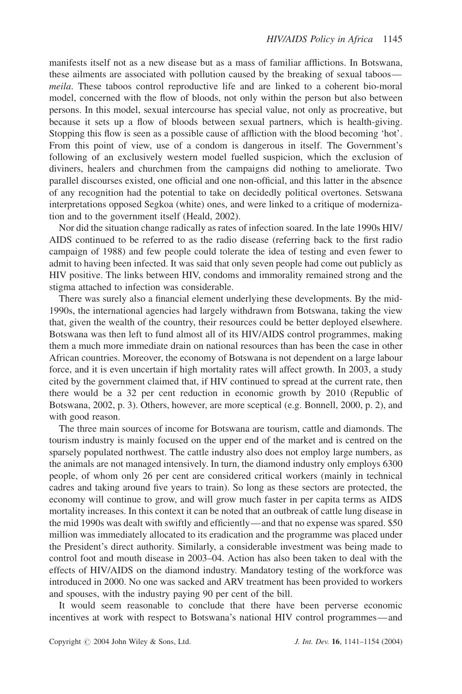manifests itself not as a new disease but as a mass of familiar afflictions. In Botswana, these ailments are associated with pollution caused by the breaking of sexual taboos meila. These taboos control reproductive life and are linked to a coherent bio-moral model, concerned with the flow of bloods, not only within the person but also between persons. In this model, sexual intercourse has special value, not only as procreative, but because it sets up a flow of bloods between sexual partners, which is health-giving. Stopping this flow is seen as a possible cause of affliction with the blood becoming 'hot'. From this point of view, use of a condom is dangerous in itself. The Government's following of an exclusively western model fuelled suspicion, which the exclusion of diviners, healers and churchmen from the campaigns did nothing to ameliorate. Two parallel discourses existed, one official and one non-official, and this latter in the absence of any recognition had the potential to take on decidedly political overtones. Setswana interpretations opposed Segkoa (white) ones, and were linked to a critique of modernization and to the government itself (Heald, 2002).

Nor did the situation change radically as rates of infection soared. In the late 1990s HIV/ AIDS continued to be referred to as the radio disease (referring back to the first radio campaign of 1988) and few people could tolerate the idea of testing and even fewer to admit to having been infected. It was said that only seven people had come out publicly as HIV positive. The links between HIV, condoms and immorality remained strong and the stigma attached to infection was considerable.

There was surely also a financial element underlying these developments. By the mid-1990s, the international agencies had largely withdrawn from Botswana, taking the view that, given the wealth of the country, their resources could be better deployed elsewhere. Botswana was then left to fund almost all of its HIV/AIDS control programmes, making them a much more immediate drain on national resources than has been the case in other African countries. Moreover, the economy of Botswana is not dependent on a large labour force, and it is even uncertain if high mortality rates will affect growth. In 2003, a study cited by the government claimed that, if HIV continued to spread at the current rate, then there would be a 32 per cent reduction in economic growth by 2010 (Republic of Botswana, 2002, p. 3). Others, however, are more sceptical (e.g. Bonnell, 2000, p. 2), and with good reason.

The three main sources of income for Botswana are tourism, cattle and diamonds. The tourism industry is mainly focused on the upper end of the market and is centred on the sparsely populated northwest. The cattle industry also does not employ large numbers, as the animals are not managed intensively. In turn, the diamond industry only employs 6300 people, of whom only 26 per cent are considered critical workers (mainly in technical cadres and taking around five years to train). So long as these sectors are protected, the economy will continue to grow, and will grow much faster in per capita terms as AIDS mortality increases. In this context it can be noted that an outbreak of cattle lung disease in the mid 1990s was dealt with swiftly and efficiently—and that no expense was spared. \$50 million was immediately allocated to its eradication and the programme was placed under the President's direct authority. Similarly, a considerable investment was being made to control foot and mouth disease in 2003–04. Action has also been taken to deal with the effects of HIV/AIDS on the diamond industry. Mandatory testing of the workforce was introduced in 2000. No one was sacked and ARV treatment has been provided to workers and spouses, with the industry paying 90 per cent of the bill.

It would seem reasonable to conclude that there have been perverse economic incentives at work with respect to Botswana's national HIV control programmes—and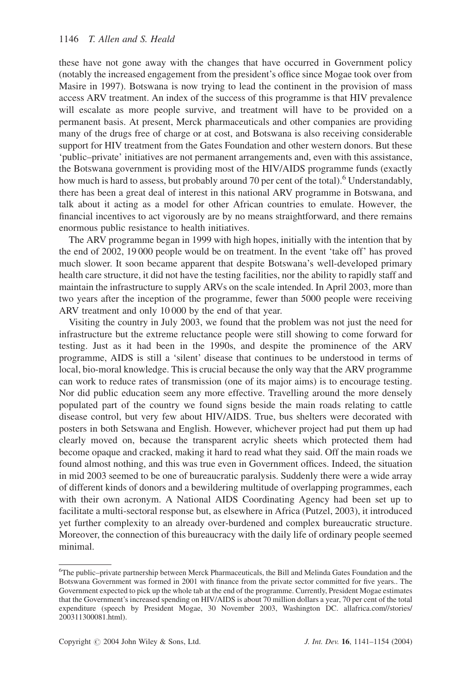these have not gone away with the changes that have occurred in Government policy (notably the increased engagement from the president's office since Mogae took over from Masire in 1997). Botswana is now trying to lead the continent in the provision of mass access ARV treatment. An index of the success of this programme is that HIV prevalence will escalate as more people survive, and treatment will have to be provided on a permanent basis. At present, Merck pharmaceuticals and other companies are providing many of the drugs free of charge or at cost, and Botswana is also receiving considerable support for HIV treatment from the Gates Foundation and other western donors. But these 'public–private' initiatives are not permanent arrangements and, even with this assistance, the Botswana government is providing most of the HIV/AIDS programme funds (exactly how much is hard to assess, but probably around 70 per cent of the total).<sup>6</sup> Understandably, there has been a great deal of interest in this national ARV programme in Botswana, and talk about it acting as a model for other African countries to emulate. However, the financial incentives to act vigorously are by no means straightforward, and there remains enormous public resistance to health initiatives.

The ARV programme began in 1999 with high hopes, initially with the intention that by the end of 2002, 19 000 people would be on treatment. In the event 'take off' has proved much slower. It soon became apparent that despite Botswana's well-developed primary health care structure, it did not have the testing facilities, nor the ability to rapidly staff and maintain the infrastructure to supply ARVs on the scale intended. In April 2003, more than two years after the inception of the programme, fewer than 5000 people were receiving ARV treatment and only 10 000 by the end of that year.

Visiting the country in July 2003, we found that the problem was not just the need for infrastructure but the extreme reluctance people were still showing to come forward for testing. Just as it had been in the 1990s, and despite the prominence of the ARV programme, AIDS is still a 'silent' disease that continues to be understood in terms of local, bio-moral knowledge. This is crucial because the only way that the ARV programme can work to reduce rates of transmission (one of its major aims) is to encourage testing. Nor did public education seem any more effective. Travelling around the more densely populated part of the country we found signs beside the main roads relating to cattle disease control, but very few about HIV/AIDS. True, bus shelters were decorated with posters in both Setswana and English. However, whichever project had put them up had clearly moved on, because the transparent acrylic sheets which protected them had become opaque and cracked, making it hard to read what they said. Off the main roads we found almost nothing, and this was true even in Government offices. Indeed, the situation in mid 2003 seemed to be one of bureaucratic paralysis. Suddenly there were a wide array of different kinds of donors and a bewildering multitude of overlapping programmes, each with their own acronym. A National AIDS Coordinating Agency had been set up to facilitate a multi-sectoral response but, as elsewhere in Africa (Putzel, 2003), it introduced yet further complexity to an already over-burdened and complex bureaucratic structure. Moreover, the connection of this bureaucracy with the daily life of ordinary people seemed minimal.

<sup>6</sup> The public–private partnership between Merck Pharmaceuticals, the Bill and Melinda Gates Foundation and the Botswana Government was formed in 2001 with finance from the private sector committed for five years.. The Government expected to pick up the whole tab at the end of the programme. Currently, President Mogae estimates that the Government's increased spending on HIV/AIDS is about 70 million dollars a year, 70 per cent of the total expenditure (speech by President Mogae, 30 November 2003, Washington DC. allafrica.com//stories/ 200311300081.html).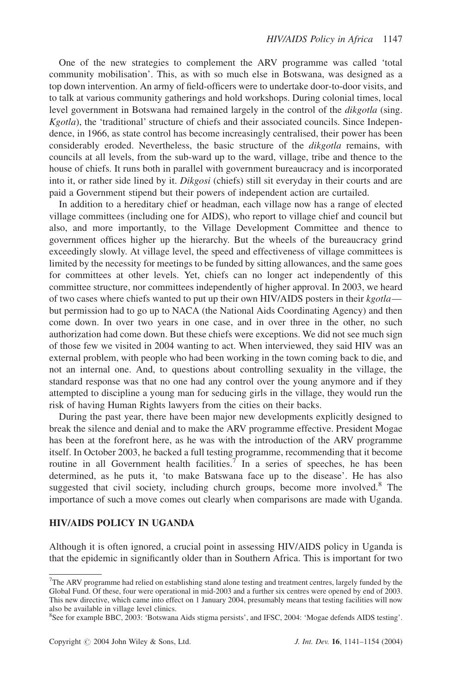One of the new strategies to complement the ARV programme was called 'total community mobilisation'. This, as with so much else in Botswana, was designed as a top down intervention. An army of field-officers were to undertake door-to-door visits, and to talk at various community gatherings and hold workshops. During colonial times, local level government in Botswana had remained largely in the control of the *dikgotla* (sing. Kgotla), the 'traditional' structure of chiefs and their associated councils. Since Independence, in 1966, as state control has become increasingly centralised, their power has been considerably eroded. Nevertheless, the basic structure of the *dikgotla* remains, with councils at all levels, from the sub-ward up to the ward, village, tribe and thence to the house of chiefs. It runs both in parallel with government bureaucracy and is incorporated into it, or rather side lined by it. *Dikgosi* (chiefs) still sit everyday in their courts and are paid a Government stipend but their powers of independent action are curtailed.

In addition to a hereditary chief or headman, each village now has a range of elected village committees (including one for AIDS), who report to village chief and council but also, and more importantly, to the Village Development Committee and thence to government offices higher up the hierarchy. But the wheels of the bureaucracy grind exceedingly slowly. At village level, the speed and effectiveness of village committees is limited by the necessity for meetings to be funded by sitting allowances, and the same goes for committees at other levels. Yet, chiefs can no longer act independently of this committee structure, nor committees independently of higher approval. In 2003, we heard of two cases where chiefs wanted to put up their own HIV/AIDS posters in their kgotla but permission had to go up to NACA (the National Aids Coordinating Agency) and then come down. In over two years in one case, and in over three in the other, no such authorization had come down. But these chiefs were exceptions. We did not see much sign of those few we visited in 2004 wanting to act. When interviewed, they said HIV was an external problem, with people who had been working in the town coming back to die, and not an internal one. And, to questions about controlling sexuality in the village, the standard response was that no one had any control over the young anymore and if they attempted to discipline a young man for seducing girls in the village, they would run the risk of having Human Rights lawyers from the cities on their backs.

During the past year, there have been major new developments explicitly designed to break the silence and denial and to make the ARV programme effective. President Mogae has been at the forefront here, as he was with the introduction of the ARV programme itself. In October 2003, he backed a full testing programme, recommending that it become routine in all Government health facilities.<sup>7</sup> In a series of speeches, he has been determined, as he puts it, 'to make Batswana face up to the disease'. He has also suggested that civil society, including church groups, become more involved.<sup>8</sup> The importance of such a move comes out clearly when comparisons are made with Uganda.

# HIV/AIDS POLICY IN UGANDA

Although it is often ignored, a crucial point in assessing HIV/AIDS policy in Uganda is that the epidemic in significantly older than in Southern Africa. This is important for two

 $7$ The ARV programme had relied on establishing stand alone testing and treatment centres, largely funded by the Global Fund. Of these, four were operational in mid-2003 and a further six centres were opened by end of 2003. This new directive, which came into effect on 1 January 2004, presumably means that testing facilities will now also be available in village level clinics.

<sup>&</sup>lt;sup>8</sup>See for example BBC, 2003: 'Botswana Aids stigma persists', and IFSC, 2004: 'Mogae defends AIDS testing'.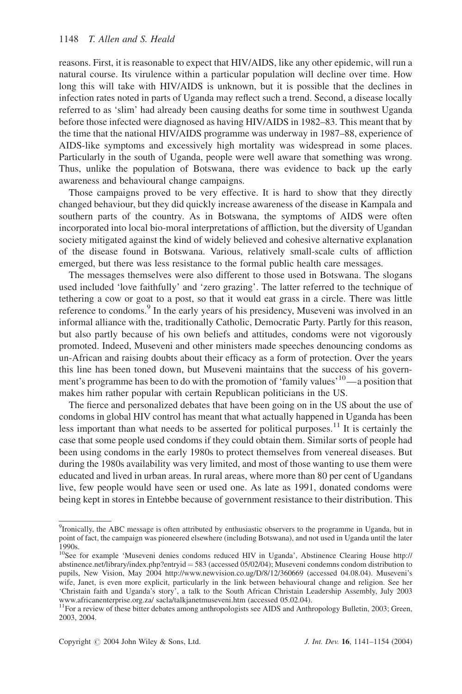reasons. First, it is reasonable to expect that HIV/AIDS, like any other epidemic, will run a natural course. Its virulence within a particular population will decline over time. How long this will take with HIV/AIDS is unknown, but it is possible that the declines in infection rates noted in parts of Uganda may reflect such a trend. Second, a disease locally referred to as 'slim' had already been causing deaths for some time in southwest Uganda before those infected were diagnosed as having HIV/AIDS in 1982–83. This meant that by the time that the national HIV/AIDS programme was underway in 1987–88, experience of AIDS-like symptoms and excessively high mortality was widespread in some places. Particularly in the south of Uganda, people were well aware that something was wrong. Thus, unlike the population of Botswana, there was evidence to back up the early awareness and behavioural change campaigns.

Those campaigns proved to be very effective. It is hard to show that they directly changed behaviour, but they did quickly increase awareness of the disease in Kampala and southern parts of the country. As in Botswana, the symptoms of AIDS were often incorporated into local bio-moral interpretations of affliction, but the diversity of Ugandan society mitigated against the kind of widely believed and cohesive alternative explanation of the disease found in Botswana. Various, relatively small-scale cults of affliction emerged, but there was less resistance to the formal public health care messages.

The messages themselves were also different to those used in Botswana. The slogans used included 'love faithfully' and 'zero grazing'. The latter referred to the technique of tethering a cow or goat to a post, so that it would eat grass in a circle. There was little reference to condoms.<sup>9</sup> In the early years of his presidency, Museveni was involved in an informal alliance with the, traditionally Catholic, Democratic Party. Partly for this reason, but also partly because of his own beliefs and attitudes, condoms were not vigorously promoted. Indeed, Museveni and other ministers made speeches denouncing condoms as un-African and raising doubts about their efficacy as a form of protection. Over the years this line has been toned down, but Museveni maintains that the success of his government's programme has been to do with the promotion of 'family values'<sup>10</sup>—a position that makes him rather popular with certain Republican politicians in the US.

The fierce and personalized debates that have been going on in the US about the use of condoms in global HIV control has meant that what actually happened in Uganda has been less important than what needs to be asserted for political purposes.<sup>11</sup> It is certainly the case that some people used condoms if they could obtain them. Similar sorts of people had been using condoms in the early 1980s to protect themselves from venereal diseases. But during the 1980s availability was very limited, and most of those wanting to use them were educated and lived in urban areas. In rural areas, where more than 80 per cent of Ugandans live, few people would have seen or used one. As late as 1991, donated condoms were being kept in stores in Entebbe because of government resistance to their distribution. This

<sup>&</sup>lt;sup>9</sup>Ironically, the ABC message is often attributed by enthusiastic observers to the programme in Uganda, but in point of fact, the campaign was pioneered elsewhere (including Botswana), and not used in Uganda until the later 1990s.

<sup>&</sup>lt;sup>10</sup>See for example 'Museveni denies condoms reduced HIV in Uganda', Abstinence Clearing House http:// abstinence.net/library/index.php?entryid = 583 (accessed 05/02/04); Museveni condemns condom distribution to pupils, New Vision, May 2004 http://www.newvision.co.ug/D/8/12/360669 (accessed 04.08.04). Museveni's wife, Janet, is even more explicit, particularly in the link between behavioural change and religion. See her 'Christain faith and Uganda's story', a talk to the South African Christain Leadership Assembly, July 2003 www.africanenterprise.org.za/ sacla/talkjanetmuseveni.htm (accessed 05.02.04).

<sup>&</sup>lt;sup>11</sup>For a review of these bitter debates among anthropologists see AIDS and Anthropology Bulletin, 2003; Green, 2003, 2004.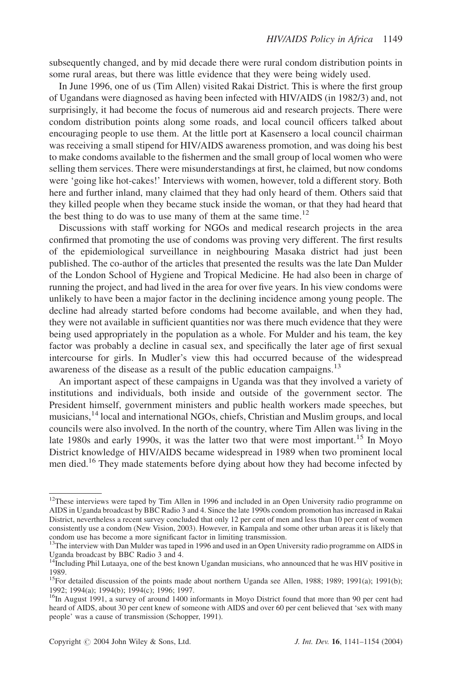subsequently changed, and by mid decade there were rural condom distribution points in some rural areas, but there was little evidence that they were being widely used.

In June 1996, one of us (Tim Allen) visited Rakai District. This is where the first group of Ugandans were diagnosed as having been infected with HIV/AIDS (in 1982/3) and, not surprisingly, it had become the focus of numerous aid and research projects. There were condom distribution points along some roads, and local council officers talked about encouraging people to use them. At the little port at Kasensero a local council chairman was receiving a small stipend for HIV/AIDS awareness promotion, and was doing his best to make condoms available to the fishermen and the small group of local women who were selling them services. There were misunderstandings at first, he claimed, but now condoms were 'going like hot-cakes!' Interviews with women, however, told a different story. Both here and further inland, many claimed that they had only heard of them. Others said that they killed people when they became stuck inside the woman, or that they had heard that the best thing to do was to use many of them at the same time.<sup>12</sup>

Discussions with staff working for NGOs and medical research projects in the area confirmed that promoting the use of condoms was proving very different. The first results of the epidemiological surveillance in neighbouring Masaka district had just been published. The co-author of the articles that presented the results was the late Dan Mulder of the London School of Hygiene and Tropical Medicine. He had also been in charge of running the project, and had lived in the area for over five years. In his view condoms were unlikely to have been a major factor in the declining incidence among young people. The decline had already started before condoms had become available, and when they had, they were not available in sufficient quantities nor was there much evidence that they were being used appropriately in the population as a whole. For Mulder and his team, the key factor was probably a decline in casual sex, and specifically the later age of first sexual intercourse for girls. In Mudler's view this had occurred because of the widespread awareness of the disease as a result of the public education campaigns.<sup>13</sup>

An important aspect of these campaigns in Uganda was that they involved a variety of institutions and individuals, both inside and outside of the government sector. The President himself, government ministers and public health workers made speeches, but musicians,<sup>14</sup> local and international NGOs, chiefs, Christian and Muslim groups, and local councils were also involved. In the north of the country, where Tim Allen was living in the late 1980s and early 1990s, it was the latter two that were most important.<sup>15</sup> In Moyo District knowledge of HIV/AIDS became widespread in 1989 when two prominent local men died.<sup>16</sup> They made statements before dying about how they had become infected by

<sup>&</sup>lt;sup>12</sup>These interviews were taped by Tim Allen in 1996 and included in an Open University radio programme on AIDS in Uganda broadcast by BBC Radio 3 and 4. Since the late 1990s condom promotion has increased in Rakai District, nevertheless a recent survey concluded that only 12 per cent of men and less than 10 per cent of women consistently use a condom (New Vision, 2003). However, in Kampala and some other urban areas it is likely that condom use has become a more significant factor in limiting transmission.

<sup>&</sup>lt;sup>13</sup>The interview with Dan Mulder was taped in 1996 and used in an Open University radio programme on AIDS in Uganda broadcast by BBC Radio 3 and 4.

<sup>&</sup>lt;sup>14</sup>Including Phil Lutaaya, one of the best known Ugandan musicians, who announced that he was HIV positive in 1989.

<sup>&</sup>lt;sup>15</sup>For detailed discussion of the points made about northern Uganda see Allen, 1988; 1989; 1991(a); 1991(b); 1992; 1994(a); 1994(b); 1994(c); 1996; 1997.

<sup>&</sup>lt;sup>16</sup>In August 1991, a survey of around 1400 informants in Moyo District found that more than 90 per cent had heard of AIDS, about 30 per cent knew of someone with AIDS and over 60 per cent believed that 'sex with many people' was a cause of transmission (Schopper, 1991).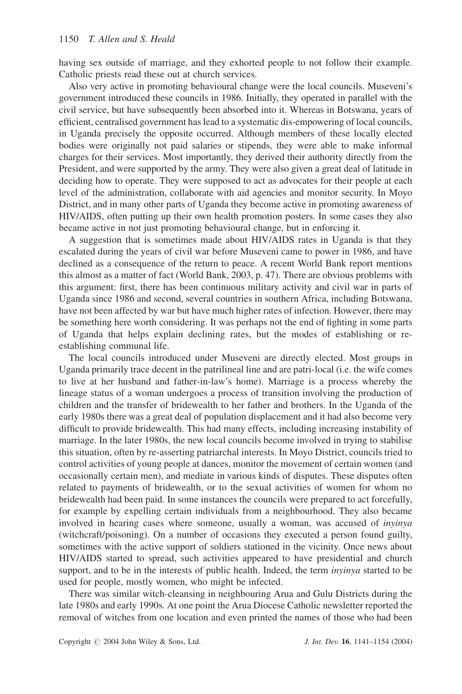having sex outside of marriage, and they exhorted people to not follow their example. Catholic priests read these out at church services.

Also very active in promoting behavioural change were the local councils. Museveni's government introduced these councils in 1986. Initially, they operated in parallel with the civil service, but have subsequently been absorbed into it. Whereas in Botswana, years of efficient, centralised government has lead to a systematic dis-empowering of local councils, in Uganda precisely the opposite occurred. Although members of these locally elected bodies were originally not paid salaries or stipends, they were able to make informal charges for their services. Most importantly, they derived their authority directly from the President, and were supported by the army. They were also given a great deal of latitude in deciding how to operate. They were supposed to act as advocates for their people at each level of the administration, collaborate with aid agencies and monitor security. In Moyo District, and in many other parts of Uganda they become active in promoting awareness of HIV/AIDS, often putting up their own health promotion posters. In some cases they also became active in not just promoting behavioural change, but in enforcing it.

A suggestion that is sometimes made about HIV/AIDS rates in Uganda is that they escalated during the years of civil war before Museveni came to power in 1986, and have declined as a consequence of the return to peace. A recent World Bank report mentions this almost as a matter of fact (World Bank, 2003, p. 47). There are obvious problems with this argument: first, there has been continuous military activity and civil war in parts of Uganda since 1986 and second, several countries in southern Africa, including Botswana, have not been affected by war but have much higher rates of infection. However, there may be something here worth considering. It was perhaps not the end of fighting in some parts of Uganda that helps explain declining rates, but the modes of establishing or reestablishing communal life.

The local councils introduced under Museveni are directly elected. Most groups in Uganda primarily trace decent in the patrilineal line and are patri-local (i.e. the wife comes to live at her husband and father-in-law's home). Marriage is a process whereby the lineage status of a woman undergoes a process of transition involving the production of children and the transfer of bridewealth to her father and brothers. In the Uganda of the early 1980s there was a great deal of population displacement and it had also become very difficult to provide bridewealth. This had many effects, including increasing instability of marriage. In the later 1980s, the new local councils become involved in trying to stabilise this situation, often by re-asserting patriarchal interests. In Moyo District, councils tried to control activities of young people at dances, monitor the movement of certain women (and occasionally certain men), and mediate in various kinds of disputes. These disputes often related to payments of bridewealth, or to the sexual activities of women for whom no bridewealth had been paid. In some instances the councils were prepared to act forcefully, for example by expelling certain individuals from a neighbourhood. They also became involved in hearing cases where someone, usually a woman, was accused of inyinya (witchcraft/poisoning). On a number of occasions they executed a person found guilty, sometimes with the active support of soldiers stationed in the vicinity. Once news about HIV/AIDS started to spread, such activities appeared to have presidential and church support, and to be in the interests of public health. Indeed, the term *inyinya* started to be used for people, mostly women, who might be infected.

There was similar witch-cleansing in neighbouring Arua and Gulu Districts during the late 1980s and early 1990s. At one point the Arua Diocese Catholic newsletter reported the removal of witches from one location and even printed the names of those who had been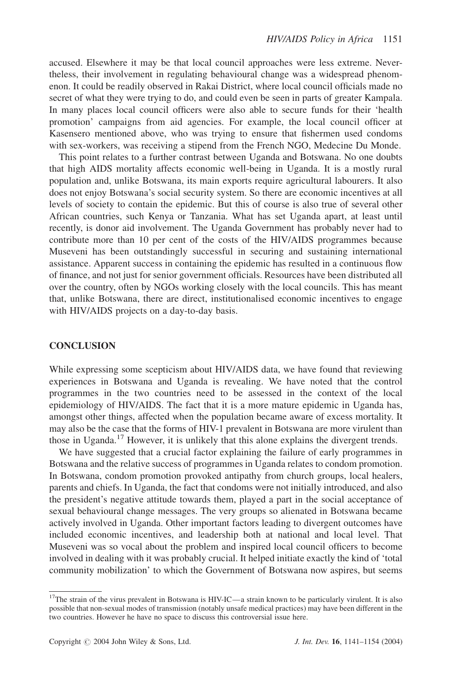accused. Elsewhere it may be that local council approaches were less extreme. Nevertheless, their involvement in regulating behavioural change was a widespread phenomenon. It could be readily observed in Rakai District, where local council officials made no secret of what they were trying to do, and could even be seen in parts of greater Kampala. In many places local council officers were also able to secure funds for their 'health promotion' campaigns from aid agencies. For example, the local council officer at Kasensero mentioned above, who was trying to ensure that fishermen used condoms with sex-workers, was receiving a stipend from the French NGO, Medecine Du Monde.

This point relates to a further contrast between Uganda and Botswana. No one doubts that high AIDS mortality affects economic well-being in Uganda. It is a mostly rural population and, unlike Botswana, its main exports require agricultural labourers. It also does not enjoy Botswana's social security system. So there are economic incentives at all levels of society to contain the epidemic. But this of course is also true of several other African countries, such Kenya or Tanzania. What has set Uganda apart, at least until recently, is donor aid involvement. The Uganda Government has probably never had to contribute more than 10 per cent of the costs of the HIV/AIDS programmes because Museveni has been outstandingly successful in securing and sustaining international assistance. Apparent success in containing the epidemic has resulted in a continuous flow of finance, and not just for senior government officials. Resources have been distributed all over the country, often by NGOs working closely with the local councils. This has meant that, unlike Botswana, there are direct, institutionalised economic incentives to engage with HIV/AIDS projects on a day-to-day basis.

# **CONCLUSION**

While expressing some scepticism about HIV/AIDS data, we have found that reviewing experiences in Botswana and Uganda is revealing. We have noted that the control programmes in the two countries need to be assessed in the context of the local epidemiology of HIV/AIDS. The fact that it is a more mature epidemic in Uganda has, amongst other things, affected when the population became aware of excess mortality. It may also be the case that the forms of HIV-1 prevalent in Botswana are more virulent than those in Uganda.<sup>17</sup> However, it is unlikely that this alone explains the divergent trends.

We have suggested that a crucial factor explaining the failure of early programmes in Botswana and the relative success of programmes in Uganda relates to condom promotion. In Botswana, condom promotion provoked antipathy from church groups, local healers, parents and chiefs. In Uganda, the fact that condoms were not initially introduced, and also the president's negative attitude towards them, played a part in the social acceptance of sexual behavioural change messages. The very groups so alienated in Botswana became actively involved in Uganda. Other important factors leading to divergent outcomes have included economic incentives, and leadership both at national and local level. That Museveni was so vocal about the problem and inspired local council officers to become involved in dealing with it was probably crucial. It helped initiate exactly the kind of 'total community mobilization' to which the Government of Botswana now aspires, but seems

 $17$ The strain of the virus prevalent in Botswana is HIV-IC—a strain known to be particularly virulent. It is also possible that non-sexual modes of transmission (notably unsafe medical practices) may have been different in the two countries. However he have no space to discuss this controversial issue here.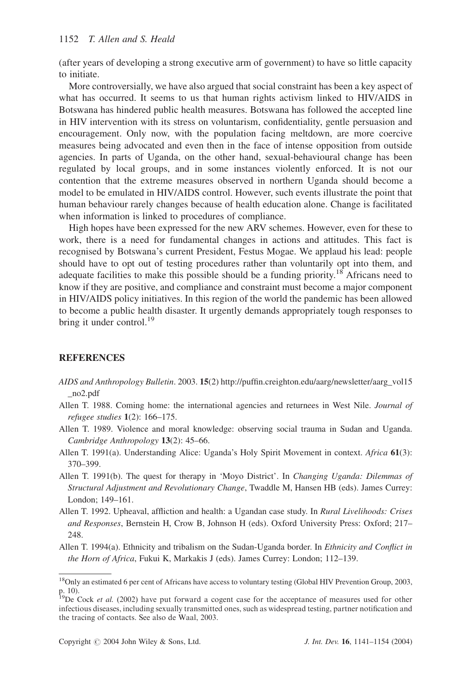(after years of developing a strong executive arm of government) to have so little capacity to initiate.

More controversially, we have also argued that social constraint has been a key aspect of what has occurred. It seems to us that human rights activism linked to HIV/AIDS in Botswana has hindered public health measures. Botswana has followed the accepted line in HIV intervention with its stress on voluntarism, confidentiality, gentle persuasion and encouragement. Only now, with the population facing meltdown, are more coercive measures being advocated and even then in the face of intense opposition from outside agencies. In parts of Uganda, on the other hand, sexual-behavioural change has been regulated by local groups, and in some instances violently enforced. It is not our contention that the extreme measures observed in northern Uganda should become a model to be emulated in HIV/AIDS control. However, such events illustrate the point that human behaviour rarely changes because of health education alone. Change is facilitated when information is linked to procedures of compliance.

High hopes have been expressed for the new ARV schemes. However, even for these to work, there is a need for fundamental changes in actions and attitudes. This fact is recognised by Botswana's current President, Festus Mogae. We applaud his lead: people should have to opt out of testing procedures rather than voluntarily opt into them, and adequate facilities to make this possible should be a funding priority.<sup>18</sup> Africans need to know if they are positive, and compliance and constraint must become a major component in HIV/AIDS policy initiatives. In this region of the world the pandemic has been allowed to become a public health disaster. It urgently demands appropriately tough responses to bring it under control.<sup>19</sup>

#### **REFERENCES**

- AIDS and Anthropology Bulletin. 2003. 15(2) http://puffin.creighton.edu/aarg/newsletter/aarg\_vol15 \_no2.pdf
- Allen T. 1988. Coming home: the international agencies and returnees in West Nile. Journal of refugee studies 1(2): 166–175.
- Allen T. 1989. Violence and moral knowledge: observing social trauma in Sudan and Uganda. Cambridge Anthropology 13(2): 45–66.
- Allen T. 1991(a). Understanding Alice: Uganda's Holy Spirit Movement in context. Africa 61(3): 370–399.
- Allen T. 1991(b). The quest for therapy in 'Moyo District'. In Changing Uganda: Dilemmas of Structural Adjustment and Revolutionary Change, Twaddle M, Hansen HB (eds). James Currey: London; 149–161.
- Allen T. 1992. Upheaval, affliction and health: a Ugandan case study. In Rural Livelihoods: Crises and Responses, Bernstein H, Crow B, Johnson H (eds). Oxford University Press: Oxford; 217– 248.
- Allen T. 1994(a). Ethnicity and tribalism on the Sudan-Uganda border. In Ethnicity and Conflict in the Horn of Africa, Fukui K, Markakis J (eds). James Currey: London; 112-139.

<sup>&</sup>lt;sup>18</sup>Only an estimated 6 per cent of Africans have access to voluntary testing (Global HIV Prevention Group, 2003, p. 10).<br><sup>19</sup>De Cock *et al.* (2002) have put forward a cogent case for the acceptance of measures used for other

infectious diseases, including sexually transmitted ones, such as widespread testing, partner notification and the tracing of contacts. See also de Waal, 2003.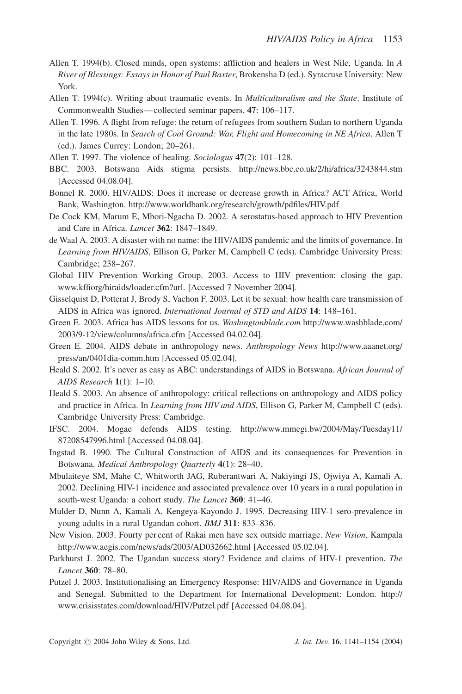- Allen T. 1994(b). Closed minds, open systems: affliction and healers in West Nile, Uganda. In A River of Blessings: Essays in Honor of Paul Baxter, Brokensha D (ed.). Syracruse University: New York.
- Allen T. 1994(c). Writing about traumatic events. In *Multiculturalism and the State*. Institute of Commonwealth Studies—collected seminar papers. 47: 106–117.
- Allen T. 1996. A flight from refuge: the return of refugees from southern Sudan to northern Uganda in the late 1980s. In Search of Cool Ground: War, Flight and Homecoming in NE Africa, Allen T (ed.). James Currey: London; 20–261.
- Allen T. 1997. The violence of healing. Sociologus 47(2): 101–128.
- BBC. 2003. Botswana Aids stigma persists. http://news.bbc.co.uk/2/hi/africa/3243844.stm [Accessed 04.08.04].
- Bonnel R. 2000. HIV/AIDS: Does it increase or decrease growth in Africa? ACT Africa, World Bank, Washington. http://www.worldbank.org/research/growth/pdfiles/HIV.pdf
- De Cock KM, Marum E, Mbori-Ngacha D. 2002. A serostatus-based approach to HIV Prevention and Care in Africa. *Lancet* 362: 1847-1849.
- de Waal A. 2003. A disaster with no name: the HIV/AIDS pandemic and the limits of governance. In Learning from HIV/AIDS, Ellison G, Parker M, Campbell C (eds). Cambridge University Press: Cambridge; 238–267.
- Global HIV Prevention Working Group. 2003. Access to HIV prevention: closing the gap. www.kffiorg/hiraids/loader.cfm?url. [Accessed 7 November 2004].
- Gisselquist D, Potterat J, Brody S, Vachon F. 2003. Let it be sexual: how health care transmission of AIDS in Africa was ignored. International Journal of STD and AIDS 14: 148-161.
- Green E. 2003. Africa has AIDS lessons for us. Washingtonblade.com http://www.washblade,com/ 2003/9-12/view/columns/africa.cfm [Accessed 04.02.04].
- Green E. 2004. AIDS debate in anthropology news. Anthropology News http://www.aaanet.org/ press/an/0401dia-comm.htm [Accessed 05.02.04].
- Heald S. 2002. It's never as easy as ABC: understandings of AIDS in Botswana. African Journal of AIDS Research 1(1): 1–10.
- Heald S. 2003. An absence of anthropology: critical reflections on anthropology and AIDS policy and practice in Africa. In *Learning from HIV and AIDS*, Ellison G, Parker M, Campbell C (eds). Cambridge University Press: Cambridge.
- IFSC. 2004. Mogae defends AIDS testing. http://www.mmegi.bw/2004/May/Tuesday11/ 87208547996.html [Accessed 04.08.04].
- Ingstad B. 1990. The Cultural Construction of AIDS and its consequences for Prevention in Botswana. Medical Anthropology Quarterly 4(1): 28–40.
- Mbulaiteye SM, Mahe C, Whitworth JAG, Ruberantwari A, Nakiyingi JS, Ojwiya A, Kamali A. 2002. Declining HIV-1 incidence and associated prevalence over 10 years in a rural population in south-west Uganda: a cohort study. The Lancet 360: 41–46.
- Mulder D, Nunn A, Kamali A, Kengeya-Kayondo J. 1995. Decreasing HIV-1 sero-prevalence in young adults in a rural Ugandan cohort. BMJ 311: 833–836.
- New Vision. 2003. Fourty per cent of Rakai men have sex outside marriage. New Vision, Kampala http://www.aegis.com/news/ads/2003/AD032662.html [Accessed 05.02.04].
- Parkhurst J. 2002. The Ugandan success story? Evidence and claims of HIV-1 prevention. The Lancet 360: 78-80.
- Putzel J. 2003. Institutionalising an Emergency Response: HIV/AIDS and Governance in Uganda and Senegal. Submitted to the Department for International Development: London. http:// www.crisisstates.com/download/HIV/Putzel.pdf [Accessed 04.08.04].